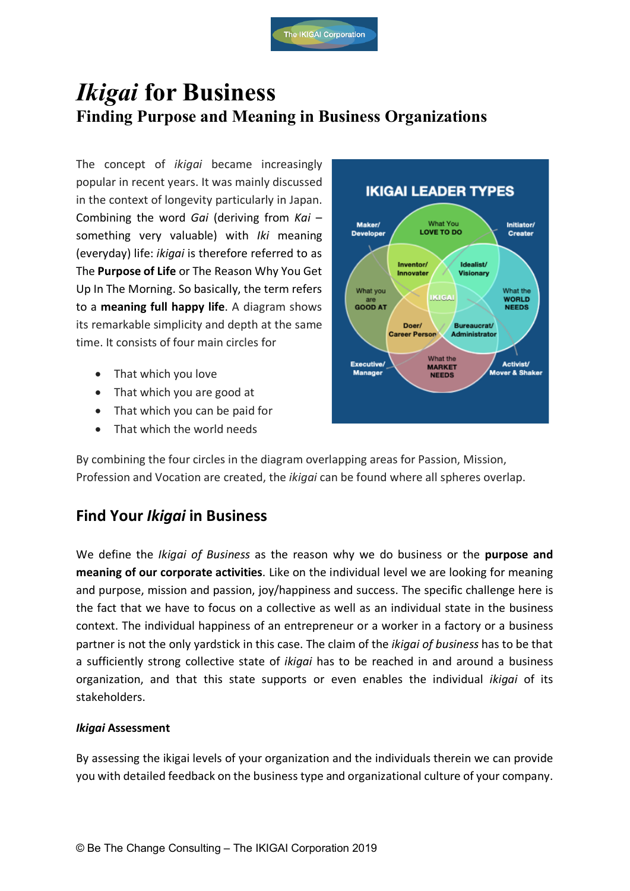# *Ikigai* **for Business Finding Purpose and Meaning in Business Organizations**

The concept of *ikigai* became increasingly popular in recent years. It was mainly discussed in the context of longevity particularly in Japan. Combining the word *Gai* (deriving from *Kai* – something very valuable) with *Iki* meaning (everyday) life: *ikigai* is therefore referred to as The **Purpose of Life** or The Reason Why You Get Up In The Morning. So basically, the term refers to a **meaning full happy life**. A diagram shows its remarkable simplicity and depth at the same time. It consists of four main circles for

- That which you love
- That which you are good at
- That which you can be paid for
- That which the world needs



By combining the four circles in the diagram overlapping areas for Passion, Mission, Profession and Vocation are created, the *ikigai* can be found where all spheres overlap.

## **Find Your** *Ikigai* **in Business**

We define the *Ikigai of Business* as the reason why we do business or the **purpose and meaning of our corporate activities**. Like on the individual level we are looking for meaning and purpose, mission and passion, joy/happiness and success. The specific challenge here is the fact that we have to focus on a collective as well as an individual state in the business context. The individual happiness of an entrepreneur or a worker in a factory or a business partner is not the only yardstick in this case. The claim of the *ikigai of business* has to be that a sufficiently strong collective state of *ikigai* has to be reached in and around a business organization, and that this state supports or even enables the individual *ikigai* of its stakeholders.

### *Ikigai* **Assessment**

By assessing the ikigai levels of your organization and the individuals therein we can provide you with detailed feedback on the business type and organizational culture of your company.